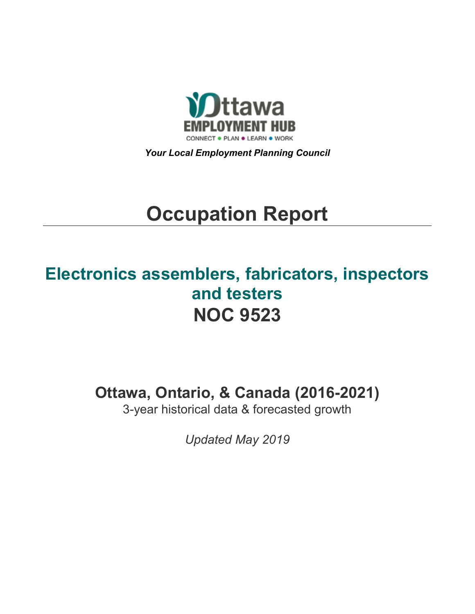

*Your Local Employment Planning Council*

# **Occupation Report**

# **Electronics assemblers, fabricators, inspectors and testers NOC 9523**

**Ottawa, Ontario, & Canada (2016-2021)**

3-year historical data & forecasted growth

*Updated May 2019*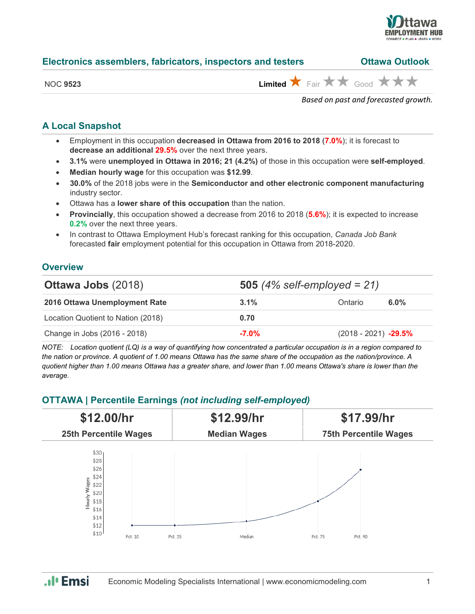

| Electronics assemblers, fabricators, inspectors and testers | <b>Ottawa Outlook</b> |
|-------------------------------------------------------------|-----------------------|
|-------------------------------------------------------------|-----------------------|

| NС<br>Ιſ |  |
|----------|--|
|          |  |

 $L$ imited  $\bigstar$  Fair  $\bigstar \star$  Good  $\bigstar \star \star$ 

*Based on past and forecasted growth.*

#### **A Local Snapshot**

- Employment in this occupation **decreased in Ottawa from 2016 to 2018** (**7.0%**); it is forecast to **decrease an additional 29.5%** over the next three years.
- **3.1%** were **unemployed in Ottawa in 2016; 21 (4.2%)** of those in this occupation were **self-employed**.
- **Median hourly wage** for this occupation was **\$12.99**.
- **30.0%** of the 2018 jobs were in the **Semiconductor and other electronic component manufacturing** industry sector.
- Ottawa has a **lower share of this occupation** than the nation.
- **Provincially**, this occupation showed a decrease from 2016 to 2018 (**5.6%**); it is expected to increase **0.2%** over the next three years.
- In contrast to Ottawa Employment Hub's forecast ranking for this occupation, *Canada Job Bank*  forecasted **fair** employment potential for this occupation in Ottawa from 2018-2020.

#### **Overview**

| <b>Ottawa Jobs (2018)</b>          | <b>505</b> (4% self-employed = $21$ ) |                        |         |
|------------------------------------|---------------------------------------|------------------------|---------|
| 2016 Ottawa Unemployment Rate      | $3.1\%$                               | Ontario                | $6.0\%$ |
| Location Quotient to Nation (2018) | 0.70                                  |                        |         |
| Change in Jobs (2016 - 2018)       | $-7.0\%$                              | $(2018 - 2021)$ -29.5% |         |

*NOTE: Location quotient (LQ) is a way of quantifying how concentrated a particular occupation is in a region compared to the nation or province. A quotient of 1.00 means Ottawa has the same share of the occupation as the nation/province. A quotient higher than 1.00 means Ottawa has a greater share, and lower than 1.00 means Ottawa's share is lower than the average.*

### **OTTAWA | Percentile Earnings** *(not including self-employed)*



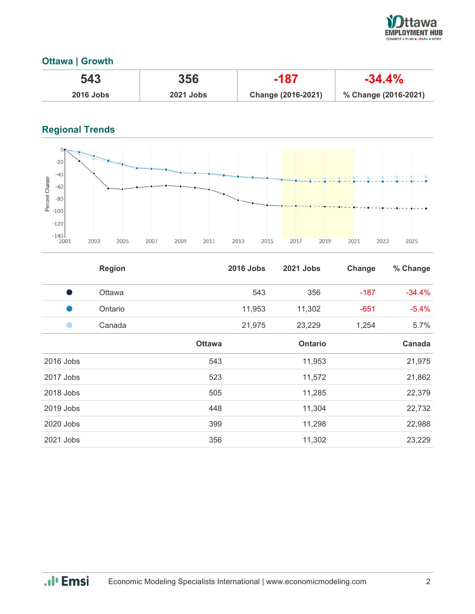

### **Ottawa | Growth**

| 543              | 356              | -187               | $-34.4%$             |
|------------------|------------------|--------------------|----------------------|
| <b>2016 Jobs</b> | <b>2021 Jobs</b> | Change (2016-2021) | % Change (2016-2021) |

## **Regional Trends**



|           | <b>Region</b> |               | <b>2016 Jobs</b> | 2021 Jobs      | Change | % Change |
|-----------|---------------|---------------|------------------|----------------|--------|----------|
|           | Ottawa        |               | 543              | 356            | $-187$ | $-34.4%$ |
|           | Ontario       |               | 11,953           | 11,302         | $-651$ | $-5.4%$  |
|           | Canada        |               | 21,975           | 23,229         | 1,254  | 5.7%     |
|           |               | <b>Ottawa</b> |                  | <b>Ontario</b> |        | Canada   |
| 2016 Jobs |               | 543           |                  | 11,953         |        | 21,975   |
| 2017 Jobs |               | 523           |                  | 11,572         |        | 21,862   |
| 2018 Jobs |               | 505           |                  | 11,285         |        | 22,379   |
| 2019 Jobs |               | 448           |                  | 11,304         |        | 22,732   |
| 2020 Jobs |               | 399           |                  | 11,298         |        | 22,988   |
| 2021 Jobs |               | 356           |                  | 11,302         |        | 23,229   |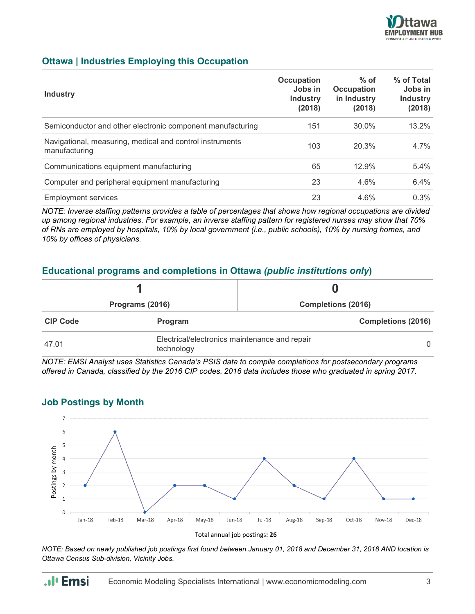

#### **Ottawa | Industries Employing this Occupation**

| <b>Industry</b>                                                           | Occupation<br>Jobs in<br><b>Industry</b><br>(2018) | $%$ of<br><b>Occupation</b><br>in Industry<br>(2018) | % of Total<br>Jobs in<br><b>Industry</b><br>(2018) |
|---------------------------------------------------------------------------|----------------------------------------------------|------------------------------------------------------|----------------------------------------------------|
| Semiconductor and other electronic component manufacturing                | 151                                                | 30.0%                                                | $13.2\%$                                           |
| Navigational, measuring, medical and control instruments<br>manufacturing | 103                                                | 20.3%                                                | 4.7%                                               |
| Communications equipment manufacturing                                    | 65                                                 | 12.9%                                                | $5.4\%$                                            |
| Computer and peripheral equipment manufacturing                           | 23                                                 | 4.6%                                                 | 6.4%                                               |
| <b>Employment services</b>                                                | 23                                                 | 4.6%                                                 | 0.3%                                               |

*NOTE: Inverse staffing patterns provides a table of percentages that shows how regional occupations are divided up among regional industries. For example, an inverse staffing pattern for registered nurses may show that 70% of RNs are employed by hospitals, 10% by local government (i.e., public schools), 10% by nursing homes, and 10% by offices of physicians.*

### **Educational programs and completions in Ottawa** *(public institutions only***)**

| Programs (2016) |                                                             | <b>Completions (2016)</b> |  |
|-----------------|-------------------------------------------------------------|---------------------------|--|
| <b>CIP Code</b> | Program                                                     | <b>Completions (2016)</b> |  |
| 47.01           | Electrical/electronics maintenance and repair<br>technology |                           |  |

*NOTE: EMSI Analyst uses Statistics Canada's PSIS data to compile completions for postsecondary programs offered in Canada, classified by the 2016 CIP codes. 2016 data includes those who graduated in spring 2017.*

# **Job Postings by Month**



*NOTE: Based on newly published job postings first found between January 01, 2018 and December 31, 2018 AND location is Ottawa Census Sub-division, Vicinity Jobs.*